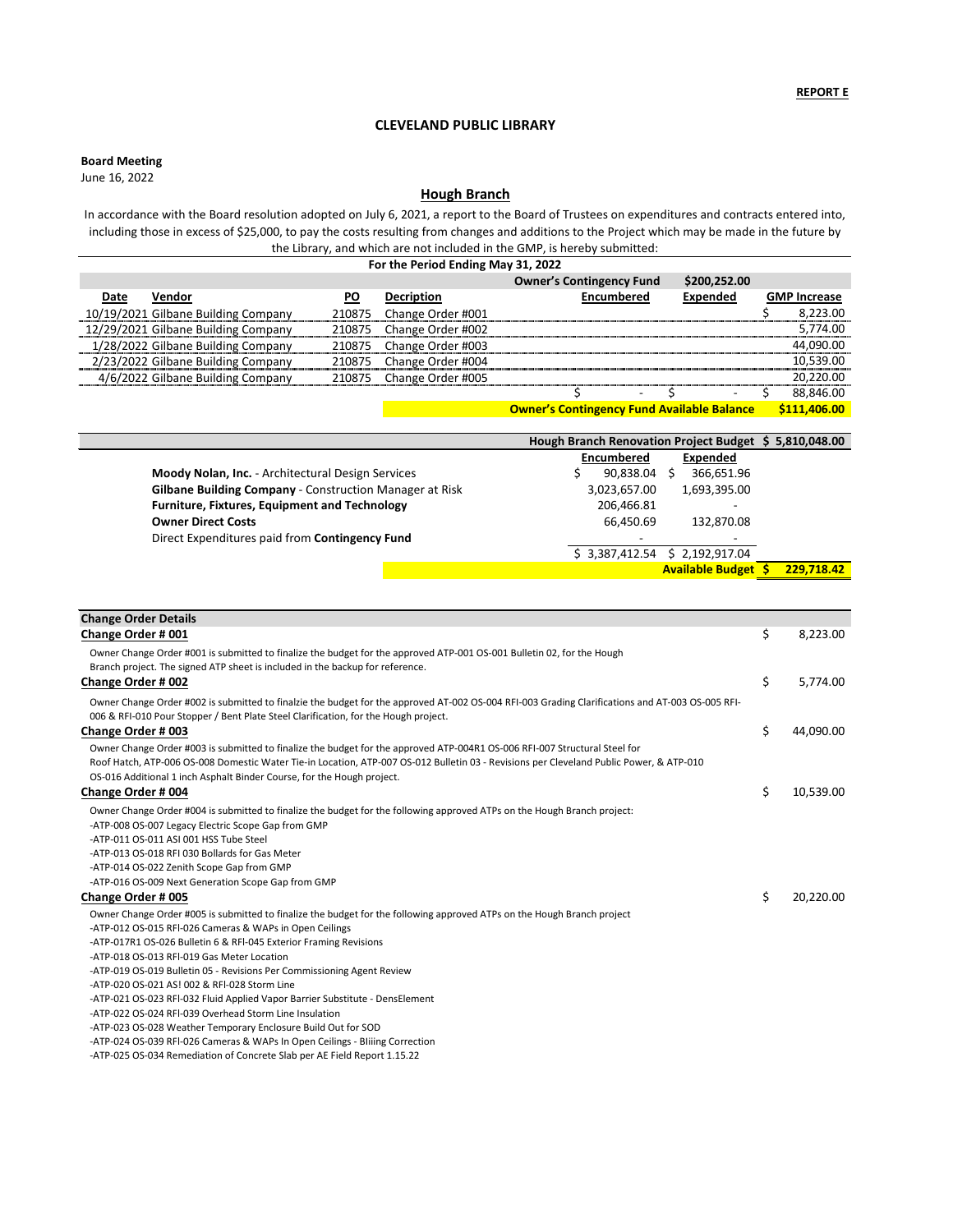**Board Meeting**

|                                                                | Hough Branch Renovation Project Budget \$5,810,048.00 |                                          |
|----------------------------------------------------------------|-------------------------------------------------------|------------------------------------------|
|                                                                | <b>Encumbered</b>                                     | <b>Expended</b>                          |
| Moody Nolan, Inc. - Architectural Design Services              | 90,838.04                                             | 366,651.96                               |
| <b>Gilbane Building Company - Construction Manager at Risk</b> | 3,023,657.00                                          | 1,693,395.00                             |
| <b>Furniture, Fixtures, Equipment and Technology</b>           | 206,466.81                                            |                                          |
| <b>Owner Direct Costs</b>                                      | 66,450.69                                             | 132,870.08                               |
| Direct Expenditures paid from Contingency Fund                 | $\sim$                                                |                                          |
|                                                                | \$3,387,412.54                                        | \$2,192,917.04                           |
|                                                                |                                                       | 229,718.42<br><b>Available Budget \$</b> |

| For the Period Ending May 31, 2022  |           |                          |                                                   |                 |                     |  |
|-------------------------------------|-----------|--------------------------|---------------------------------------------------|-----------------|---------------------|--|
|                                     |           |                          | <b>Owner's Contingency Fund</b>                   | \$200,252.00    |                     |  |
| Vendor<br>Date                      | <b>PO</b> | <b>Decription</b>        | <b>Encumbered</b>                                 | <b>Expended</b> | <b>GMP Increase</b> |  |
| 10/19/2021 Gilbane Building Company | 210875    | Change Order #001        |                                                   |                 | 8,223.00            |  |
| 12/29/2021 Gilbane Building Company | 210875    | Change Order #002        |                                                   |                 | 5,774.00            |  |
| 1/28/2022 Gilbane Building Company  | 210875    | Change Order #003        |                                                   |                 | 44,090.00           |  |
| 2/23/2022 Gilbane Building Company  | 210875    | Change Order #004        |                                                   |                 | 10,539.00           |  |
| 4/6/2022 Gilbane Building Company   |           | 210875 Change Order #005 |                                                   |                 | 20,220.00           |  |
|                                     |           |                          | $\blacksquare$                                    | $\blacksquare$  | 88,846.00           |  |
|                                     |           |                          | <b>Owner's Contingency Fund Available Balance</b> |                 | \$111,406.00        |  |

| <b>Change Order Details</b>                                                                                                                                                                                                                                                                                                                                                     |                 |
|---------------------------------------------------------------------------------------------------------------------------------------------------------------------------------------------------------------------------------------------------------------------------------------------------------------------------------------------------------------------------------|-----------------|
| Change Order # 001                                                                                                                                                                                                                                                                                                                                                              | \$<br>8,223.00  |
| Owner Change Order #001 is submitted to finalize the budget for the approved ATP-001 OS-001 Bulletin 02, for the Hough<br>Branch project. The signed ATP sheet is included in the backup for reference.                                                                                                                                                                         |                 |
| <b>Change Order # 002</b>                                                                                                                                                                                                                                                                                                                                                       | \$<br>5,774.00  |
| Owner Change Order #002 is submitted to finalzie the budget for the approved AT-002 OS-004 RFI-003 Grading Clarifications and AT-003 OS-005 RFI-<br>006 & RFI-010 Pour Stopper / Bent Plate Steel Clarification, for the Hough project.                                                                                                                                         |                 |
| <b>Change Order # 003</b>                                                                                                                                                                                                                                                                                                                                                       | \$<br>44,090.00 |
| Owner Change Order #003 is submitted to finalize the budget for the approved ATP-004R1 OS-006 RFI-007 Structural Steel for<br>Roof Hatch, ATP-006 OS-008 Domestic Water Tie-in Location, ATP-007 OS-012 Bulletin 03 - Revisions per Cleveland Public Power, & ATP-010<br>OS-016 Additional 1 inch Asphalt Binder Course, for the Hough project.                                 |                 |
| <b>Change Order # 004</b>                                                                                                                                                                                                                                                                                                                                                       | \$<br>10,539.00 |
| Owner Change Order #004 is submitted to finalize the budget for the following approved ATPs on the Hough Branch project:<br>-ATP-008 OS-007 Legacy Electric Scope Gap from GMP<br>-ATP-011 OS-011 ASI 001 HSS Tube Steel<br>-ATP-013 OS-018 RFI 030 Bollards for Gas Meter<br>-ATP-014 OS-022 Zenith Scope Gap from GMP<br>-ATP-016 OS-009 Next Generation Scope Gap from GMP   |                 |
| <b>Change Order # 005</b>                                                                                                                                                                                                                                                                                                                                                       | \$<br>20,220.00 |
| Owner Change Order #005 is submitted to finalize the budget for the following approved ATPs on the Hough Branch project<br>-ATP-012 OS-015 RFI-026 Cameras & WAPs in Open Ceilings<br>-ATP-017R1 OS-026 Bulletin 6 & RFI-045 Exterior Framing Revisions<br>-ATP-018 OS-013 RFI-019 Gas Meter Location<br>-ATP-019 OS-019 Bulletin 05 - Revisions Per Commissioning Agent Review |                 |

-ATP-020 OS-021 AS! 002 & RFl-028 Storm Line

-ATP-021 OS-023 RFl-032 Fluid Applied Vapor Barrier Substitute - DensElement

-ATP-022 OS-024 RFl-039 Overhead Storm Line Insulation

-ATP-023 OS-028 Weather Temporary Enclosure Build Out for SOD

-ATP-024 OS-039 RFl-026 Cameras & WAPs In Open Ceilings - BIiiing Correction

-ATP-025 OS-034 Remediation of Concrete Slab per AE Field Report 1.15.22

June 16, 2022

# **CLEVELAND PUBLIC LIBRARY**

# **Hough Branch**

In accordance with the Board resolution adopted on July 6, 2021, a report to the Board of Trustees on expenditures and contracts entered into, including those in excess of \$25,000, to pay the costs resulting from changes and additions to the Project which may be made in the future by the Library, and which are not included in the GMP, is hereby submitted: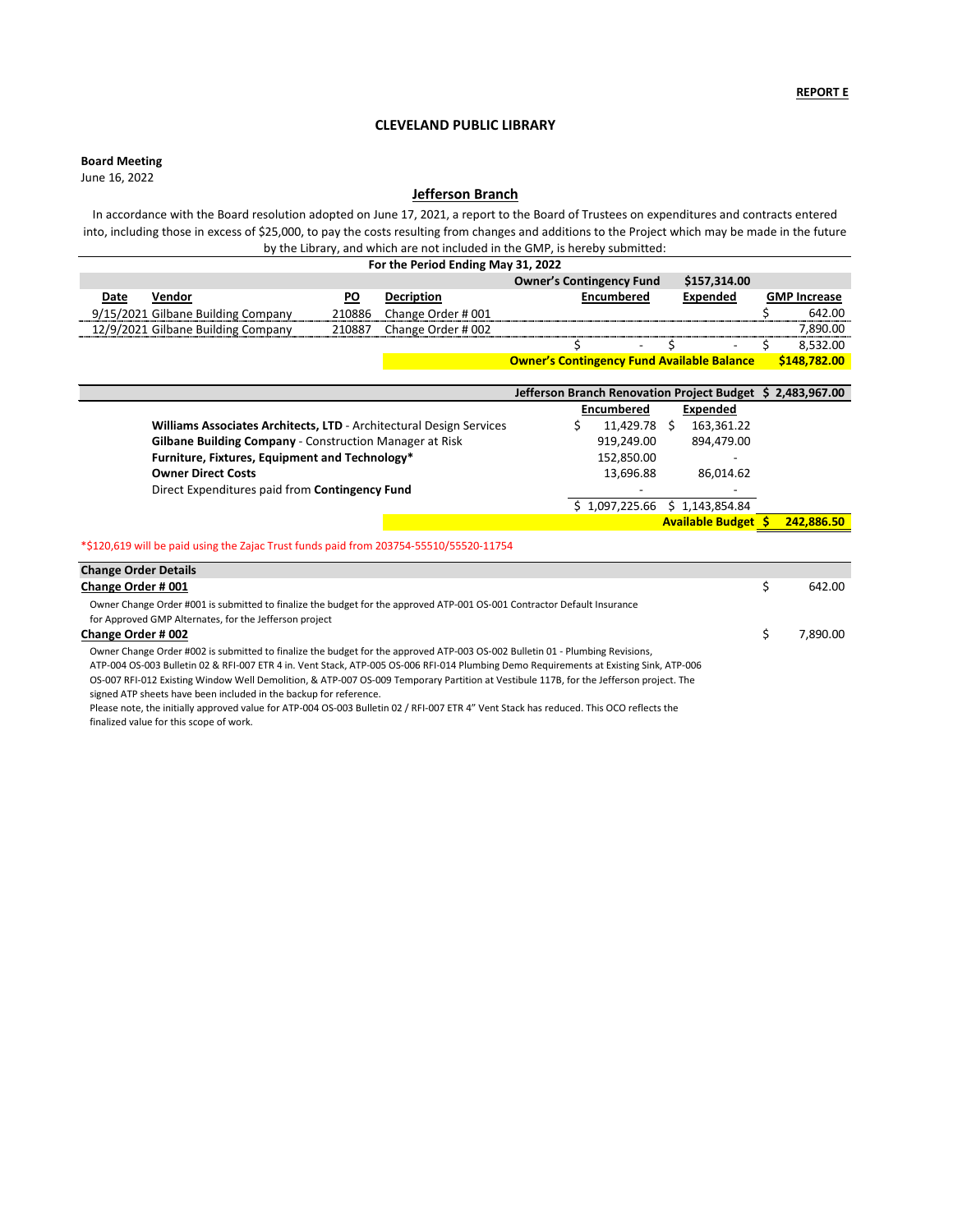# **Board Meeting**

|                                                                     | Jefferson Branch Renovation Project Budget \$ 2,483,967.00 |                            |            |
|---------------------------------------------------------------------|------------------------------------------------------------|----------------------------|------------|
|                                                                     | <b>Encumbered</b>                                          | Expended                   |            |
| Williams Associates Architects, LTD - Architectural Design Services | 11,429.78                                                  | 163,361.22<br>S            |            |
| <b>Gilbane Building Company - Construction Manager at Risk</b>      | 919,249.00                                                 | 894,479.00                 |            |
| Furniture, Fixtures, Equipment and Technology*                      | 152,850.00                                                 | <b>.</b>                   |            |
| <b>Owner Direct Costs</b>                                           | 13,696.88                                                  | 86,014.62                  |            |
| Direct Expenditures paid from Contingency Fund                      | $\overline{\phantom{a}}$                                   |                            |            |
|                                                                     | $$1,097,225.66 \t$ 1,143,854.84$                           |                            |            |
|                                                                     |                                                            | <b>Available Budget \$</b> | 242,886.50 |
|                                                                     |                                                            |                            |            |

| For the Period Ending May 31, 2022 |        |                    |                                                   |              |  |                     |
|------------------------------------|--------|--------------------|---------------------------------------------------|--------------|--|---------------------|
|                                    |        |                    | <b>Owner's Contingency Fund</b>                   | \$157,314.00 |  |                     |
| Vendor<br>Date                     | PO     | <b>Decription</b>  | <b>Encumbered</b>                                 | Expended     |  | <b>GMP Increase</b> |
| 9/15/2021 Gilbane Building Company | 210886 | Change Order #001  |                                                   |              |  | 642.00              |
| 12/9/2021 Gilbane Building Company | 210887 | Change Order # 002 |                                                   |              |  | 7,890.00            |
|                                    |        |                    | $\overline{\phantom{0}}$                          | -            |  | 8,532.00            |
|                                    |        |                    | <b>Owner's Contingency Fund Available Balance</b> |              |  | \$148,782.00        |

| <b>Change Order Details</b>                                                                                                            |          |
|----------------------------------------------------------------------------------------------------------------------------------------|----------|
| <b>Change Order #001</b>                                                                                                               | 642.00   |
| Owner Change Order #001 is submitted to finalize the budget for the approved ATP-001 OS-001 Contractor Default Insurance               |          |
| for Approved GMP Alternates, for the Jefferson project                                                                                 |          |
| <b>Change Order # 002</b>                                                                                                              | 7.890.00 |
| Owner Change Order #002 is submitted to finalize the budget for the approved ATP-003 OS-002 Bulletin 01 - Plumbing Revisions,          |          |
| ATP-004 OS-003 Bulletin 02 & RFI-007 ETR 4 in. Vent Stack, ATP-005 OS-006 RFI-014 Plumbing Demo Requirements at Existing Sink, ATP-006 |          |
| OS-007 RFI-012 Existing Window Well Demolition, & ATP-007 OS-009 Temporary Partition at Vestibule 117B, for the Jefferson project. The |          |
| signed ATP sheets have been included in the backup for reference.                                                                      |          |
| Dlease note the initially approved value for ATP-004 OS-003 Bulletin 02 / REL-007 ETR 4" Vent Stack has reduced This OCO reflects the  |          |

Please note, the initially approved value for ATP-004 OS-003 Bulletin 02 / RFI-007 ETR 4" Vent Stack has reduced. This OCO reflects the finalized value for this scope of work.

June 16, 2022

# **CLEVELAND PUBLIC LIBRARY**

# **Jefferson Branch**

In accordance with the Board resolution adopted on June 17, 2021, a report to the Board of Trustees on expenditures and contracts entered into, including those in excess of \$25,000, to pay the costs resulting from changes and additions to the Project which may be made in the future by the Library, and which are not included in the GMP, is hereby submitted:

## \*\$120,619 will be paid using the Zajac Trust funds paid from 203754-55510/55520-11754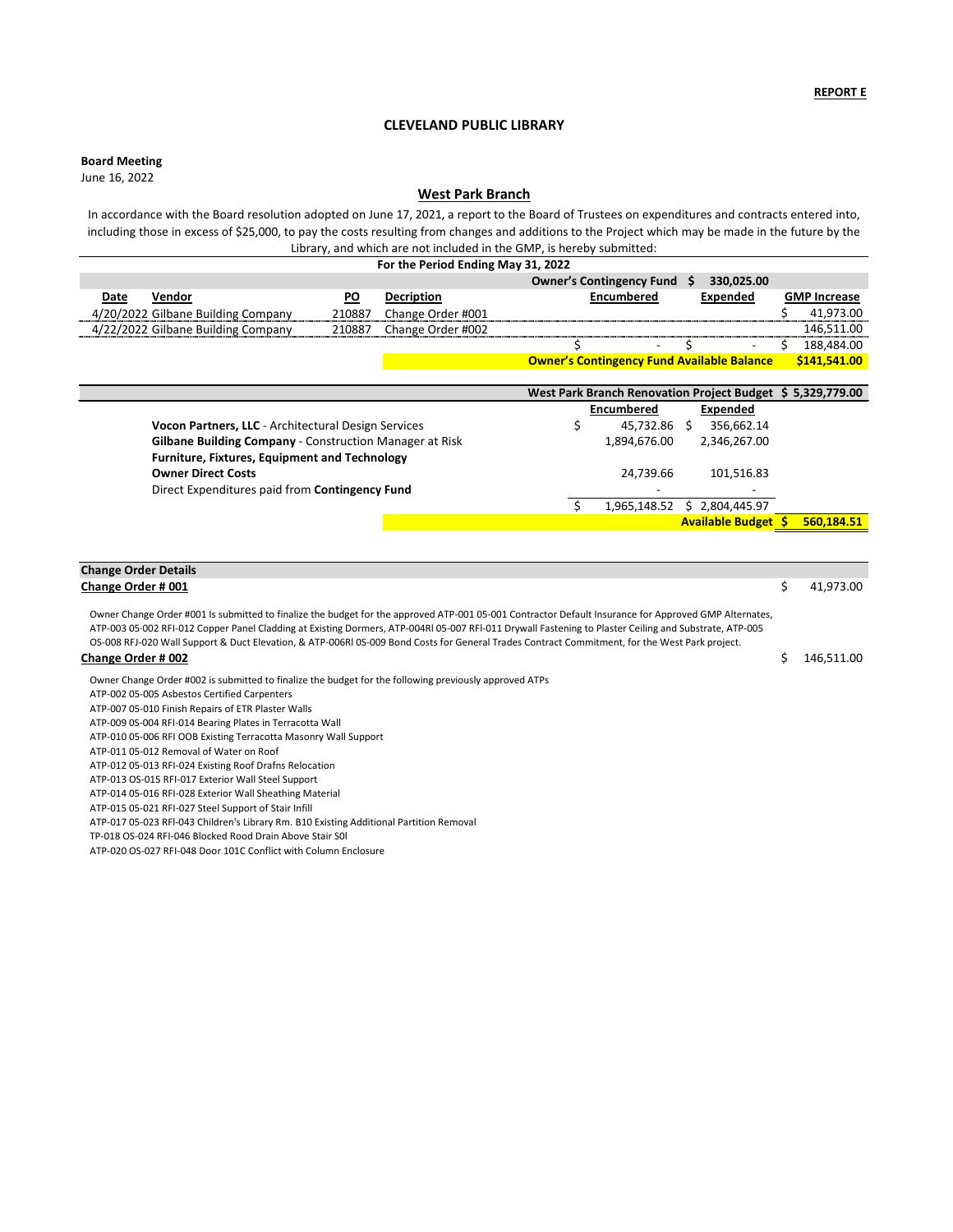#### **Board Meeting**

|                                                         |                          | West Park Branch Renovation Project Budget \$ 5,329,779.00 |            |
|---------------------------------------------------------|--------------------------|------------------------------------------------------------|------------|
|                                                         | <b>Encumbered</b>        | <b>Expended</b>                                            |            |
| Vocon Partners, LLC - Architectural Design Services     | 45,732.86                | 356,662.14                                                 |            |
| Gilbane Building Company - Construction Manager at Risk | 1,894,676.00             | 2,346,267.00                                               |            |
| <b>Furniture, Fixtures, Equipment and Technology</b>    |                          |                                                            |            |
| <b>Owner Direct Costs</b>                               | 24,739.66                | 101,516.83                                                 |            |
| Direct Expenditures paid from Contingency Fund          | $\overline{\phantom{0}}$ |                                                            |            |
|                                                         | 1,965,148.52             | 2,804,445.97                                               |            |
|                                                         |                          | <b>Available Budget \$</b>                                 | 560,184.51 |

| <b>Change Order Details</b> |           |
|-----------------------------|-----------|
| Change Order # 001          | 41,973.00 |

June 16, 2022

I.

## **CLEVELAND PUBLIC LIBRARY**

**Change Order # 002** \$ 146,511.00 Owner Change Order #001 Is submitted to finalize the budget for the approved ATP-001 05-001 Contractor Default Insurance for Approved GMP Alternates, ATP-003 05·002 RFI-012 Copper Panel Cladding at Existing Dormers, ATP-004Rl 05-007 RFl-011 Drywall Fastening to Plaster Ceiling and Substrate, ATP-005 OS-008 RFJ-020 Wall Support & Duct Elevation, & ATP-006Rl 0S-009 Bond Costs for General Trades Contract Commitment, for the West Park project.

| For the Period Ending May 31, 2022 |           |                   |                                                   |  |                |  |                     |
|------------------------------------|-----------|-------------------|---------------------------------------------------|--|----------------|--|---------------------|
|                                    |           |                   | <b>Owner's Contingency Fund</b>                   |  | 330,025.00     |  |                     |
| Vendor<br>Date                     | <b>PO</b> | <b>Decription</b> | <b>Encumbered</b>                                 |  | Expended       |  | <b>GMP Increase</b> |
| 4/20/2022 Gilbane Building Company | 210887    | Change Order #001 |                                                   |  |                |  | 41,973.00           |
| 4/22/2022 Gilbane Building Company | 210887    | Change Order #002 |                                                   |  |                |  | 146,511.00          |
|                                    |           |                   |                                                   |  | $\blacksquare$ |  | 188,484.00          |
|                                    |           |                   | <b>Owner's Contingency Fund Available Balance</b> |  |                |  | \$141,541.00        |

Owner Change Order #002 is submitted to finalize the budget for the following previously approved ATPs

ATP-002 05-005 Asbestos Certified Carpenters

ATP-007 05-010 Finish Repairs of ETR Plaster Walls

ATP-009 0S-004 RFI-014 Bearing Plates in Terracotta Wall

ATP-010 05-006 RFI OOB Existing Terracotta Masonry Wall Support

ATP-011 05-012 Removal of Water on Roof

ATP-012 05-013 RFI-024 Existing Roof Drafns Relocation

ATP-013 OS-015 RFI-017 Exterior Wall Steel Support

ATP-014 05-016 RFI-028 Exterior Wall Sheathing Material

ATP-015 05-021 RFI-027 Steel Support of Stair Infill

ATP-017 05-023 RFl-043 Children's Library Rm. B10 Existing Additional Partition Removal

TP-018 OS-024 RFI-046 Blocked Rood Drain Above Stair S0l

ATP-020 OS-027 RFI-048 Door 101C Conflict with Column Enclosure

# **West Park Branch**

In accordance with the Board resolution adopted on June 17, 2021, a report to the Board of Trustees on expenditures and contracts entered into, including those in excess of \$25,000, to pay the costs resulting from changes and additions to the Project which may be made in the future by the Library, and which are not included in the GMP, is hereby submitted: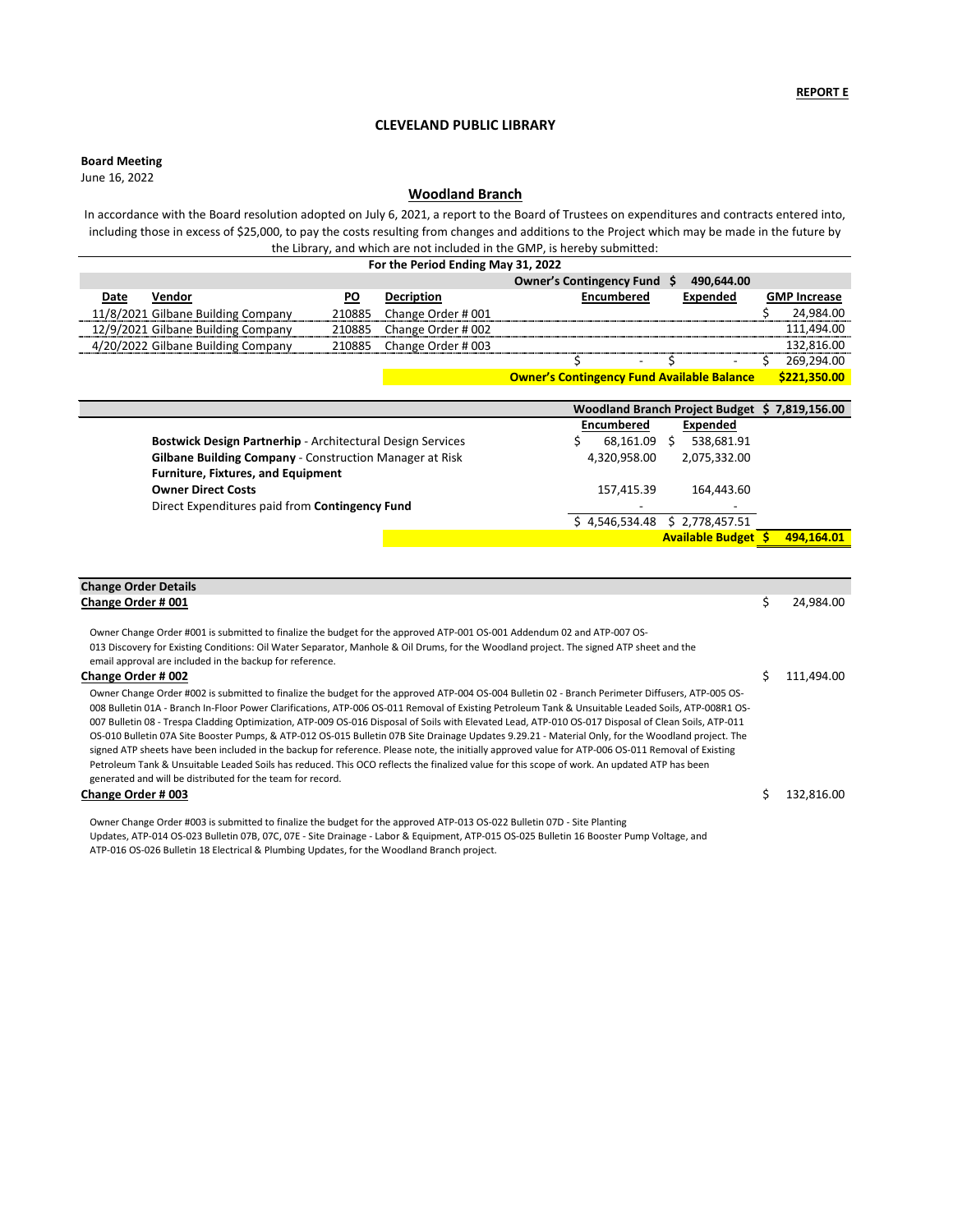## **Board Meeting**

|                                                                   |                          | Woodland Branch Project Budget \$7,819,156.00 |
|-------------------------------------------------------------------|--------------------------|-----------------------------------------------|
|                                                                   | <b>Encumbered</b>        | <b>Expended</b>                               |
| <b>Bostwick Design Partnerhip - Architectural Design Services</b> | 68,161.09                | 538,681.91                                    |
| Gilbane Building Company - Construction Manager at Risk           | 4,320,958.00             | 2,075,332.00                                  |
| <b>Furniture, Fixtures, and Equipment</b>                         |                          |                                               |
| <b>Owner Direct Costs</b>                                         | 157,415.39               | 164,443.60                                    |
| Direct Expenditures paid from Contingency Fund                    | $\overline{\phantom{0}}$ | $\blacksquare$                                |
|                                                                   | \$4,546,534.48           | \$2,778,457.51                                |
|                                                                   |                          | <b>Available Budget \$</b><br>494,164.01      |

June 16, 2022

# **CLEVELAND PUBLIC LIBRARY**

| For the Period Ending May 31, 2022 |                                    |        |                    |                                                   |                          |                 |  |                     |
|------------------------------------|------------------------------------|--------|--------------------|---------------------------------------------------|--------------------------|-----------------|--|---------------------|
|                                    |                                    |        |                    | Owner's Contingency Fund \$                       |                          | 490,644.00      |  |                     |
| <b>Date</b>                        | Vendor                             | PO     | <b>Decription</b>  | <b>Encumbered</b>                                 |                          | <b>Expended</b> |  | <b>GMP Increase</b> |
|                                    | 11/8/2021 Gilbane Building Company | 210885 | Change Order # 001 |                                                   |                          |                 |  | 24,984.00           |
|                                    | 12/9/2021 Gilbane Building Company | 210885 | Change Order # 002 |                                                   |                          |                 |  | 111,494.00          |
|                                    | 4/20/2022 Gilbane Building Company | 210885 | Change Order # 003 |                                                   |                          |                 |  | 132,816.00          |
|                                    |                                    |        |                    |                                                   | $\overline{\phantom{a}}$ | $\blacksquare$  |  | 269,294.00          |
|                                    |                                    |        |                    | <b>Owner's Contingency Fund Available Balance</b> |                          |                 |  | \$221,350.00        |

| <b>Change Order Details</b>                                                                                                                                                                                                                                                                                                                                                                                                                                                                                                                                                                                                                                                                                                                                                                                                                                                                                                                                                               |     |            |
|-------------------------------------------------------------------------------------------------------------------------------------------------------------------------------------------------------------------------------------------------------------------------------------------------------------------------------------------------------------------------------------------------------------------------------------------------------------------------------------------------------------------------------------------------------------------------------------------------------------------------------------------------------------------------------------------------------------------------------------------------------------------------------------------------------------------------------------------------------------------------------------------------------------------------------------------------------------------------------------------|-----|------------|
| Change Order # 001                                                                                                                                                                                                                                                                                                                                                                                                                                                                                                                                                                                                                                                                                                                                                                                                                                                                                                                                                                        | \$. | 24,984.00  |
|                                                                                                                                                                                                                                                                                                                                                                                                                                                                                                                                                                                                                                                                                                                                                                                                                                                                                                                                                                                           |     |            |
| Owner Change Order #001 is submitted to finalize the budget for the approved ATP-001 OS-001 Addendum 02 and ATP-007 OS-                                                                                                                                                                                                                                                                                                                                                                                                                                                                                                                                                                                                                                                                                                                                                                                                                                                                   |     |            |
| 013 Discovery for Existing Conditions: Oil Water Separator, Manhole & Oil Drums, for the Woodland project. The signed ATP sheet and the                                                                                                                                                                                                                                                                                                                                                                                                                                                                                                                                                                                                                                                                                                                                                                                                                                                   |     |            |
| email approval are included in the backup for reference.                                                                                                                                                                                                                                                                                                                                                                                                                                                                                                                                                                                                                                                                                                                                                                                                                                                                                                                                  |     |            |
| Change Order # 002                                                                                                                                                                                                                                                                                                                                                                                                                                                                                                                                                                                                                                                                                                                                                                                                                                                                                                                                                                        | S   | 111,494.00 |
| Owner Change Order #002 is submitted to finalize the budget for the approved ATP-004 OS-004 Bulletin 02 - Branch Perimeter Diffusers, ATP-005 OS-<br>008 Bulletin 01A - Branch In-Floor Power Clarifications, ATP-006 OS-011 Removal of Existing Petroleum Tank & Unsuitable Leaded Soils, ATP-008R1 OS-<br>007 Bulletin 08 - Trespa Cladding Optimization, ATP-009 OS-016 Disposal of Soils with Elevated Lead, ATP-010 OS-017 Disposal of Clean Soils, ATP-011<br>OS-010 Bulletin 07A Site Booster Pumps, & ATP-012 OS-015 Bulletin 07B Site Drainage Updates 9.29.21 - Material Only, for the Woodland project. The<br>signed ATP sheets have been included in the backup for reference. Please note, the initially approved value for ATP-006 OS-011 Removal of Existing<br>Petroleum Tank & Unsuitable Leaded Soils has reduced. This OCO reflects the finalized value for this scope of work. An updated ATP has been<br>generated and will be distributed for the team for record. |     |            |
| Change Order # 003                                                                                                                                                                                                                                                                                                                                                                                                                                                                                                                                                                                                                                                                                                                                                                                                                                                                                                                                                                        |     | 132,816.00 |
| Owner Change Order #003 is submitted to finalize the budget for the approved ATP-013 OS-022 Bulletin 07D - Site Planting<br>Updates, ATP-014 OS-023 Bulletin 07B, 07C, 07E - Site Drainage - Labor & Equipment, ATP-015 OS-025 Bulletin 16 Booster Pump Voltage, and<br>ATP-016 OS-026 Bulletin 18 Electrical & Plumbing Updates, for the Woodland Branch project.                                                                                                                                                                                                                                                                                                                                                                                                                                                                                                                                                                                                                        |     |            |

# **Woodland Branch**

In accordance with the Board resolution adopted on July 6, 2021, a report to the Board of Trustees on expenditures and contracts entered into, including those in excess of \$25,000, to pay the costs resulting from changes and additions to the Project which may be made in the future by the Library, and which are not included in the GMP, is hereby submitted: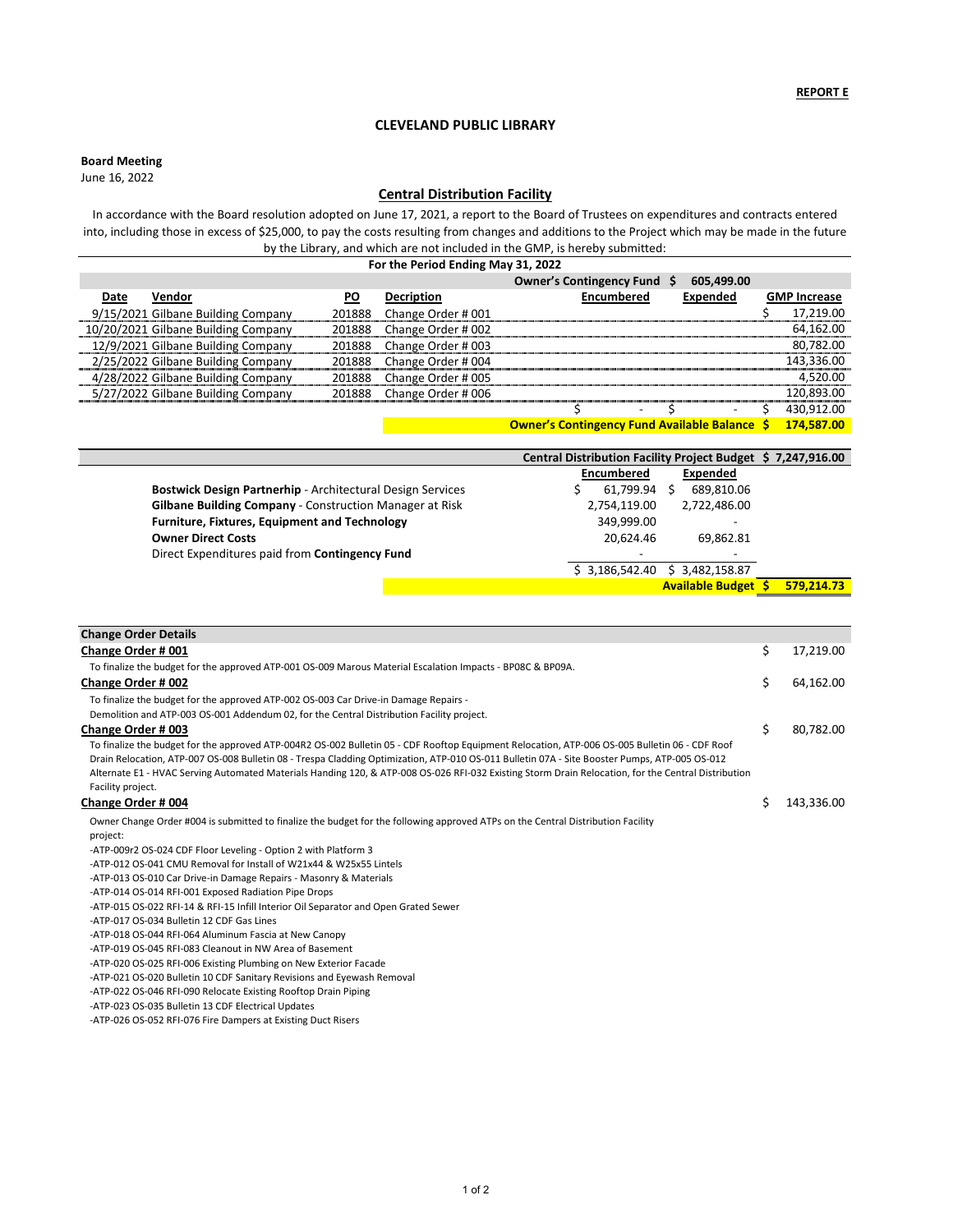**Board Meeting**

**Owner's Contingency Fund Available Balance \$ 174,587.00**

|                                                            | Central Distribution Facility Project Budget \$7,247,916.00 |                             |            |
|------------------------------------------------------------|-------------------------------------------------------------|-----------------------------|------------|
|                                                            | <b>Encumbered</b>                                           | <b>Expended</b>             |            |
| Bostwick Design Partnerhip - Architectural Design Services | 61,799.94                                                   | 689,810.06<br>$\mathcal{L}$ |            |
| Gilbane Building Company - Construction Manager at Risk    | 2,754,119.00                                                | 2,722,486.00                |            |
| <b>Furniture, Fixtures, Equipment and Technology</b>       | 349,999.00                                                  | $\,$                        |            |
| <b>Owner Direct Costs</b>                                  | 20,624.46                                                   | 69,862.81                   |            |
| Direct Expenditures paid from Contingency Fund             | $\overline{\phantom{a}}$                                    |                             |            |
|                                                            | \$3,186,542.40                                              | 3,482,158.87                |            |
|                                                            |                                                             | <b>Available Budget</b>     | 579,214.73 |

|      | For the Period Ending May 31, 2022  |           |                    |                                           |                 |  |                                                                          |  |
|------|-------------------------------------|-----------|--------------------|-------------------------------------------|-----------------|--|--------------------------------------------------------------------------|--|
|      |                                     |           |                    | Owner's Contingency Fund \$               | 605,499.00      |  |                                                                          |  |
| Date | Vendor                              | <b>PO</b> | <b>Decription</b>  | <b>Encumbered</b>                         | <b>Expended</b> |  | <b>GMP Increase</b>                                                      |  |
|      | 9/15/2021 Gilbane Building Company  | 201888    | Change Order # 001 |                                           |                 |  | 17,219.00                                                                |  |
|      | 10/20/2021 Gilbane Building Company | 201888    | Change Order # 002 |                                           |                 |  | 64,162.00                                                                |  |
|      | 12/9/2021 Gilbane Building Company  | 201888    | Change Order # 003 |                                           |                 |  | 80,782.00                                                                |  |
|      | 2/25/2022 Gilbane Building Company  | 201888    | Change Order # 004 |                                           |                 |  | 143,336.00                                                               |  |
|      | 4/28/2022 Gilbane Building Company  | 201888    | Change Order # 005 |                                           |                 |  | 4,520.00                                                                 |  |
|      | 5/27/2022 Gilbane Building Company  | 201888    | Change Order # 006 |                                           |                 |  | 120,893.00                                                               |  |
|      |                                     |           |                    | $\sim$                                    | $\sim$          |  | 430,912.00                                                               |  |
|      |                                     |           |                    | <u>A colonización e clasificación de </u> |                 |  | $\overline{A} = \overline{A} + \overline{C} = \overline{C} \overline{A}$ |  |

# **CLEVELAND PUBLIC LIBRARY**

June 16, 2022

# **Central Distribution Facility**

In accordance with the Board resolution adopted on June 17, 2021, a report to the Board of Trustees on expenditures and contracts entered into, including those in excess of \$25,000, to pay the costs resulting from changes and additions to the Project which may be made in the future by the Library, and which are not included in the GMP, is hereby submitted:

| <b>Change Order Details</b>                                                                                                                         |                  |
|-----------------------------------------------------------------------------------------------------------------------------------------------------|------------------|
| <b>Change Order #001</b>                                                                                                                            | \$<br>17,219.00  |
| To finalize the budget for the approved ATP-001 OS-009 Marous Material Escalation Impacts - BP08C & BP09A.                                          |                  |
| <b>Change Order # 002</b>                                                                                                                           | \$<br>64,162.00  |
| To finalize the budget for the approved ATP-002 OS-003 Car Drive-in Damage Repairs -                                                                |                  |
| Demolition and ATP-003 OS-001 Addendum 02, for the Central Distribution Facility project.                                                           |                  |
| <b>Change Order # 003</b>                                                                                                                           | \$<br>80,782.00  |
| To finalize the budget for the approved ATP-004R2 OS-002 Bulletin 05 - CDF Rooftop Equipment Relocation, ATP-006 OS-005 Bulletin 06 - CDF Roof      |                  |
| Drain Relocation, ATP-007 OS-008 Bulletin 08 - Trespa Cladding Optimization, ATP-010 OS-011 Bulletin 07A - Site Booster Pumps, ATP-005 OS-012       |                  |
| Alternate E1 - HVAC Serving Automated Materials Handing 120, & ATP-008 OS-026 RFI-032 Existing Storm Drain Relocation, for the Central Distribution |                  |
| Facility project.                                                                                                                                   |                  |
| Change Order # 004                                                                                                                                  | \$<br>143,336.00 |
| Owner Change Order #004 is submitted to finalize the budget for the following approved ATPs on the Central Distribution Facility                    |                  |
| project:                                                                                                                                            |                  |
| -ATP-009r2 OS-024 CDF Floor Leveling - Option 2 with Platform 3                                                                                     |                  |
| -ATP-012 OS-041 CMU Removal for Install of W21x44 & W25x55 Lintels                                                                                  |                  |
| -ATP-013 OS-010 Car Drive-in Damage Repairs - Masonry & Materials                                                                                   |                  |
| -ATP-014 OS-014 RFI-001 Exposed Radiation Pipe Drops                                                                                                |                  |
| -ATP-015 OS-022 RFI-14 & RFI-15 Infill Interior Oil Separator and Open Grated Sewer                                                                 |                  |
| -ATP-017 OS-034 Bulletin 12 CDF Gas Lines                                                                                                           |                  |
| -ATP-018 OS-044 RFI-064 Aluminum Fascia at New Canopy                                                                                               |                  |
| -ATP-019 OS-045 RFI-083 Cleanout in NW Area of Basement                                                                                             |                  |
| -ATP-020 OS-025 RFI-006 Existing Plumbing on New Exterior Facade                                                                                    |                  |
|                                                                                                                                                     |                  |

-ATP-021 OS-020 Bulletin 10 CDF Sanitary Revisions and Eyewash Removal -ATP-022 OS-046 RFI-090 Relocate Existing Rooftop Drain Piping -ATP-023 OS-035 Bulletin 13 CDF Electrical Updates -ATP-026 OS-052 RFI-076 Fire Dampers at Existing Duct Risers

1 of 2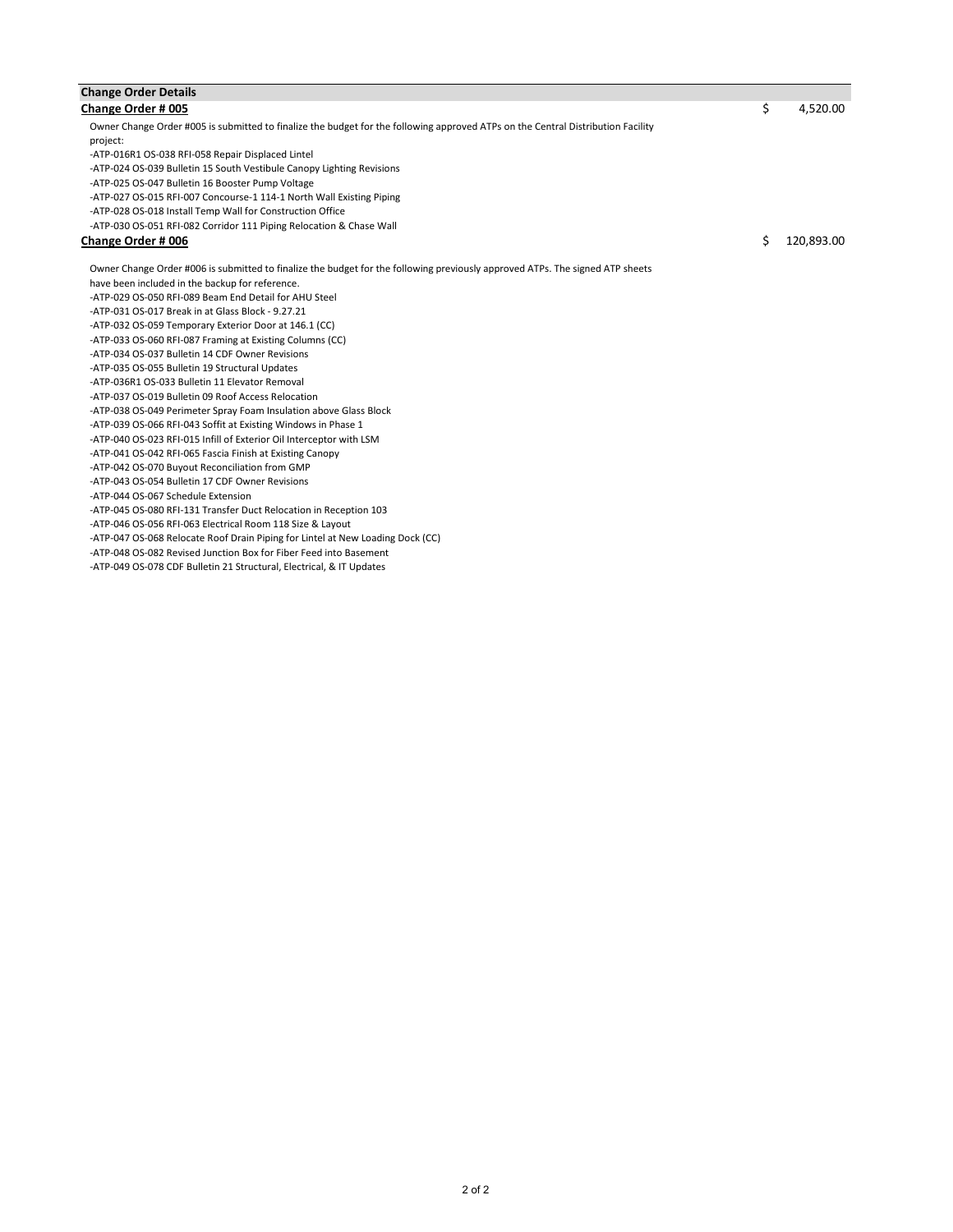| <b>Change Order Details</b>                                                                                                      |                  |
|----------------------------------------------------------------------------------------------------------------------------------|------------------|
| Change Order # 005                                                                                                               | \$<br>4,520.00   |
| Owner Change Order #005 is submitted to finalize the budget for the following approved ATPs on the Central Distribution Facility |                  |
| project:                                                                                                                         |                  |
| -ATP-016R1 OS-038 RFI-058 Repair Displaced Lintel                                                                                |                  |
| -ATP-024 OS-039 Bulletin 15 South Vestibule Canopy Lighting Revisions                                                            |                  |
| -ATP-025 OS-047 Bulletin 16 Booster Pump Voltage                                                                                 |                  |
| -ATP-027 OS-015 RFI-007 Concourse-1 114-1 North Wall Existing Piping                                                             |                  |
| -ATP-028 OS-018 Install Temp Wall for Construction Office                                                                        |                  |
| -ATP-030 OS-051 RFI-082 Corridor 111 Piping Relocation & Chase Wall                                                              |                  |
| <b>Change Order # 006</b>                                                                                                        | \$<br>120,893.00 |
| Owner Change Order #006 is submitted to finalize the budget for the following previously approved ATPs. The signed ATP sheets    |                  |
| have been included in the backup for reference.                                                                                  |                  |
| -ATP-029 OS-050 RFI-089 Beam End Detail for AHU Steel                                                                            |                  |
| -ATP-031 OS-017 Break in at Glass Block - 9.27.21                                                                                |                  |
| -ATP-032 OS-059 Temporary Exterior Door at 146.1 (CC)                                                                            |                  |
| -ATP-033 OS-060 RFI-087 Framing at Existing Columns (CC)                                                                         |                  |
| -ATP-034 OS-037 Bulletin 14 CDF Owner Revisions                                                                                  |                  |
| -ATP-035 OS-055 Bulletin 19 Structural Updates                                                                                   |                  |
| -ATP-036R1 OS-033 Bulletin 11 Elevator Removal                                                                                   |                  |
| -ATP-037 OS-019 Bulletin 09 Roof Access Relocation                                                                               |                  |
| -ATP-038 OS-049 Perimeter Spray Foam Insulation above Glass Block                                                                |                  |
| -ATP-039 OS-066 RFI-043 Soffit at Existing Windows in Phase 1                                                                    |                  |
| -ATP-040 OS-023 RFI-015 Infill of Exterior Oil Interceptor with LSM                                                              |                  |
| -ATP-041 OS-042 RFI-065 Fascia Finish at Existing Canopy                                                                         |                  |
| -ATP-042 OS-070 Buyout Reconciliation from GMP                                                                                   |                  |
| -ATP-043 OS-054 Bulletin 17 CDF Owner Revisions                                                                                  |                  |
| -ATP-044 OS-067 Schedule Extension                                                                                               |                  |
| -ATP-045 OS-080 RFI-131 Transfer Duct Relocation in Reception 103                                                                |                  |
| -ATP-046 OS-056 RFI-063 Electrical Room 118 Size & Layout                                                                        |                  |
| -ATP-047 OS-068 Relocate Roof Drain Piping for Lintel at New Loading Dock (CC)                                                   |                  |
| -ATP-048 OS-082 Revised Junction Box for Fiber Feed into Basement                                                                |                  |
| -ATP-049 OS-078 CDF Bulletin 21 Structural, Electrical, & IT Updates                                                             |                  |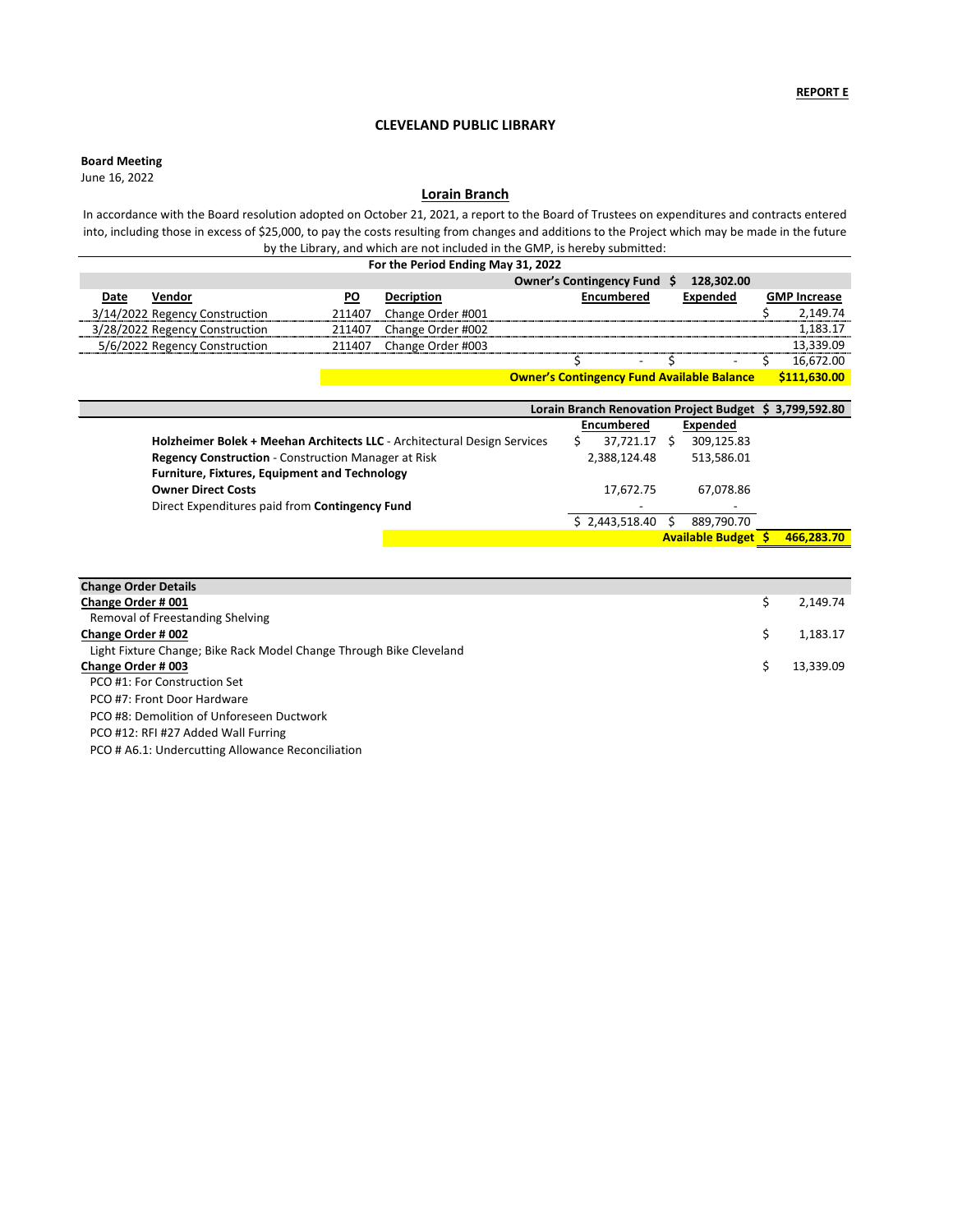## **Board Meeting**

**Owner's Contingency Fund Available Balance \$111,630.00**

| Lorain Branch Renovation Project Budget \$ 3,799,592.80                  |                          |                            |            |  |  |  |
|--------------------------------------------------------------------------|--------------------------|----------------------------|------------|--|--|--|
|                                                                          | <b>Encumbered</b>        | Expended                   |            |  |  |  |
| Holzheimer Bolek + Meehan Architects LLC - Architectural Design Services | 37,721.17                | 309,125.83<br>-S           |            |  |  |  |
| <b>Regency Construction - Construction Manager at Risk</b>               | 2,388,124.48             | 513,586.01                 |            |  |  |  |
| Furniture, Fixtures, Equipment and Technology                            |                          |                            |            |  |  |  |
| <b>Owner Direct Costs</b>                                                | 17,672.75                | 67,078.86                  |            |  |  |  |
| Direct Expenditures paid from Contingency Fund                           | $\overline{\phantom{a}}$ | $\blacksquare$             |            |  |  |  |
|                                                                          | \$2,443,518.40           | 889,790.70                 |            |  |  |  |
|                                                                          |                          | <b>Available Budget \$</b> | 466,283.70 |  |  |  |

| For the Period Ending May 31, 2022 |           |                   |                                            |                          |  |                     |
|------------------------------------|-----------|-------------------|--------------------------------------------|--------------------------|--|---------------------|
|                                    |           |                   | <b>Owner's Contingency Fund</b>            | 128,302.00<br>- S        |  |                     |
| Vendor<br>Date                     | <b>PO</b> | <b>Decription</b> | <b>Encumbered</b>                          | Expended                 |  | <b>GMP Increase</b> |
| 3/14/2022 Regency Construction     | 211407    | Change Order #001 |                                            |                          |  | 2,149.74            |
| 3/28/2022 Regency Construction     | 211407    | Change Order #002 |                                            |                          |  | 1,183.17            |
| 5/6/2022 Regency Construction      | 211407    | Change Order #003 |                                            |                          |  | 13,339.09           |
|                                    |           |                   | $\overline{\phantom{0}}$                   | $\overline{\phantom{0}}$ |  | 16,672.00           |
|                                    |           |                   | Ownards Contingence Fund Available Relaxes |                          |  | $6111$ $620$ $00$   |

# **Lorain Branch**

In accordance with the Board resolution adopted on October 21, 2021, a report to the Board of Trustees on expenditures and contracts entered into, including those in excess of \$25,000, to pay the costs resulting from changes and additions to the Project which may be made in the future by the Library, and which are not included in the GMP, is hereby submitted:

| 2,149.74  |
|-----------|
|           |
| 1,183.17  |
|           |
| 13,339.09 |
|           |
|           |
|           |
|           |
|           |

# **CLEVELAND PUBLIC LIBRARY**

June 16, 2022

PCO # A6.1: Undercutting Allowance Reconciliation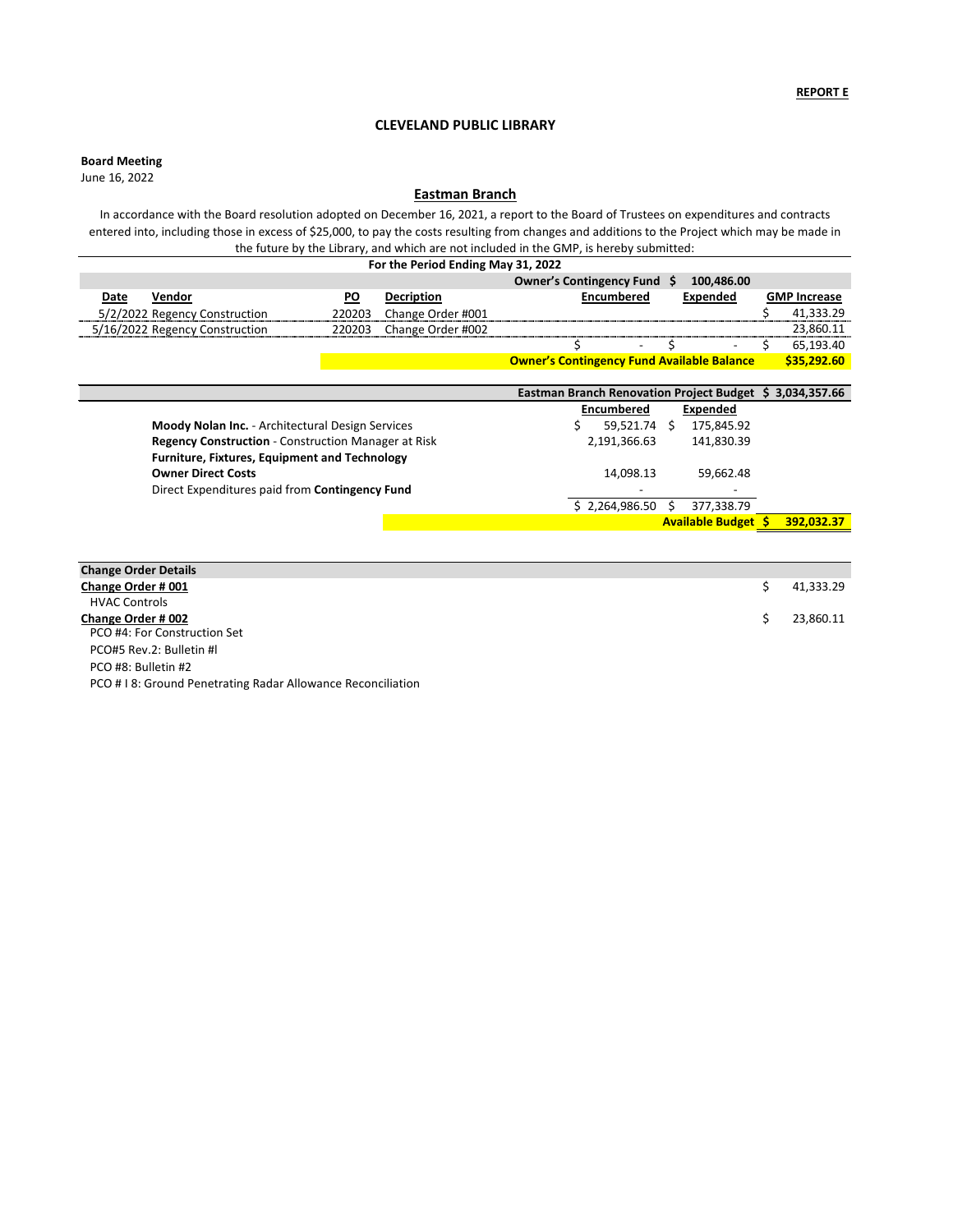# **Board Meeting**

|                                                            | Eastman Branch Renovation Project Budget \$ 3,034,357.66 |                            |            |
|------------------------------------------------------------|----------------------------------------------------------|----------------------------|------------|
|                                                            | <b>Encumbered</b>                                        | Expended                   |            |
| <b>Moody Nolan Inc.</b> - Architectural Design Services    | 59,521.74                                                | 175,845.92                 |            |
| <b>Regency Construction - Construction Manager at Risk</b> | 2,191,366.63                                             | 141,830.39                 |            |
| <b>Furniture, Fixtures, Equipment and Technology</b>       |                                                          |                            |            |
| <b>Owner Direct Costs</b>                                  | 14,098.13                                                | 59,662.48                  |            |
| Direct Expenditures paid from Contingency Fund             | $\overline{\phantom{a}}$                                 |                            |            |
|                                                            | \$2,264,986.50                                           | 377,338.79                 |            |
|                                                            |                                                          | <b>Available Budget \$</b> | 392,032.37 |

| For the Period Ending May 31, 2022 |           |                   |                                                   |                          |  |                     |
|------------------------------------|-----------|-------------------|---------------------------------------------------|--------------------------|--|---------------------|
|                                    |           |                   | Owner's Contingency Fund \$                       | 100,486.00               |  |                     |
| Vendor<br>Date                     | <u>PO</u> | <b>Decription</b> | <b>Encumbered</b>                                 | <b>Expended</b>          |  | <b>GMP Increase</b> |
| 5/2/2022 Regency Construction      | 220203    | Change Order #001 |                                                   |                          |  | 41,333.29           |
| 5/16/2022 Regency Construction     | 220203    | Change Order #002 |                                                   |                          |  | 23,860.11           |
|                                    |           |                   | $\overline{\phantom{0}}$                          | $\overline{\phantom{a}}$ |  | 65,193.40           |
|                                    |           |                   | <b>Owner's Contingency Fund Available Balance</b> |                          |  | \$35,292.60         |

# **Eastman Branch**

In accordance with the Board resolution adopted on December 16, 2021, a report to the Board of Trustees on expenditures and contracts entered into, including those in excess of \$25,000, to pay the costs resulting from changes and additions to the Project which may be made in the future by the Library, and which are not included in the GMP, is hereby submitted:

| <b>Change Order Details</b>                                |           |
|------------------------------------------------------------|-----------|
| <b>Change Order #001</b>                                   | 41,333.29 |
| <b>HVAC Controls</b>                                       |           |
| <b>Change Order #002</b>                                   | 23,860.11 |
| PCO #4: For Construction Set                               |           |
| PCO#5 Rev.2: Bulletin #I                                   |           |
| PCO #8: Bulletin #2                                        |           |
| PCO #18: Ground Penetrating Radar Allowance Reconciliation |           |

# **CLEVELAND PUBLIC LIBRARY**

June 16, 2022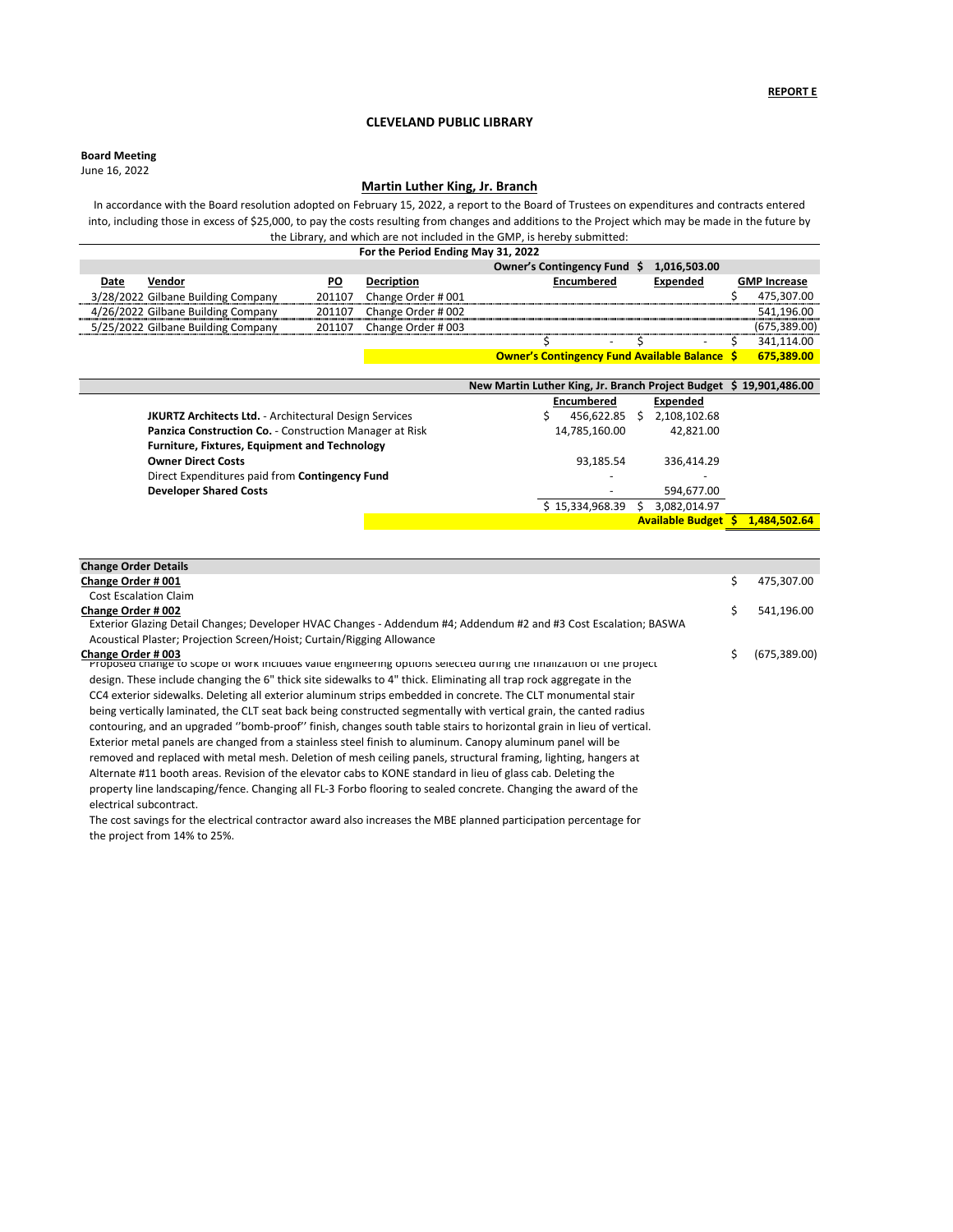**Board Meeting**

|                                                               | New Martin Luther King, Jr. Branch Project Budget \$19,901,486.00 |                         |              |
|---------------------------------------------------------------|-------------------------------------------------------------------|-------------------------|--------------|
|                                                               | <b>Encumbered</b>                                                 | Expended                |              |
| <b>JKURTZ Architects Ltd.</b> - Architectural Design Services | 456,622.85                                                        | 2,108,102.68            |              |
| Panzica Construction Co. - Construction Manager at Risk       | 14,785,160.00                                                     | 42,821.00               |              |
| <b>Furniture, Fixtures, Equipment and Technology</b>          |                                                                   |                         |              |
| <b>Owner Direct Costs</b>                                     | 93,185.54                                                         | 336,414.29              |              |
| Direct Expenditures paid from Contingency Fund                | $\overline{\phantom{0}}$                                          |                         |              |
| <b>Developer Shared Costs</b>                                 |                                                                   | 594,677.00              |              |
|                                                               | \$15,334,968.39                                                   | 3,082,014.97            |              |
|                                                               |                                                                   | <b>Available Budget</b> | 1,484,502.64 |

# **CLEVELAND PUBLIC LIBRARY**

June 16, 2022

# **Martin Luther King, Jr. Branch**

In accordance with the Board resolution adopted on February 15, 2022, a report to the Board of Trustees on expenditures and contracts entered into, including those in excess of \$25,000, to pay the costs resulting from changes and additions to the Project which may be made in the future by the Library, and which are not included in the GMP, is hereby submitted:

| For the Period Ending May 31, 2022 |                                    |           |                    |                                                      |  |                 |                     |
|------------------------------------|------------------------------------|-----------|--------------------|------------------------------------------------------|--|-----------------|---------------------|
|                                    |                                    |           |                    | Owner's Contingency Fund \$                          |  | 1,016,503.00    |                     |
| Date                               | Vendor                             | <b>PO</b> | <b>Decription</b>  | <b>Encumbered</b>                                    |  | <b>Expended</b> | <b>GMP Increase</b> |
|                                    | 3/28/2022 Gilbane Building Company | 201107    | Change Order # 001 |                                                      |  |                 | 475,307.00          |
|                                    | 4/26/2022 Gilbane Building Company | 201107    | Change Order # 002 |                                                      |  |                 | 541,196.00          |
|                                    | 5/25/2022 Gilbane Building Company | 201107    | Change Order # 003 |                                                      |  |                 | (675, 389.00)       |
|                                    |                                    |           |                    | $\overline{\phantom{a}}$                             |  |                 | 341,114.00          |
|                                    |                                    |           |                    | <b>Owner's Contingency Fund Available Balance \$</b> |  |                 | 675,389.00          |

| <b>Change Order Details</b>                                                                                                               |                     |
|-------------------------------------------------------------------------------------------------------------------------------------------|---------------------|
| Change Order # 001                                                                                                                        | \$<br>475,307.00    |
| <b>Cost Escalation Claim</b>                                                                                                              |                     |
| <b>Change Order #002</b>                                                                                                                  | \$<br>541,196.00    |
| Exterior Glazing Detail Changes; Developer HVAC Changes - Addendum #4; Addendum #2 and #3 Cost Escalation; BASWA                          |                     |
| Acoustical Plaster; Projection Screen/Hoist; Curtain/Rigging Allowance                                                                    |                     |
| Change Order # 003<br>Proposed change to scope or work includes value engineering options selected during the finalization of the project | \$<br>(675, 389.00) |
| design. These include changing the 6" thick site sidewalks to 4" thick. Eliminating all trap rock aggregate in the                        |                     |
| CC4 exterior sidewalks. Deleting all exterior aluminum strips embedded in concrete. The CLT monumental stair                              |                     |
| being vertically laminated, the CLT seat back being constructed segmentally with vertical grain, the canted radius                        |                     |
| contouring, and an upgraded "bomb-proof" finish, changes south table stairs to horizontal grain in lieu of vertical.                      |                     |
| Exterior metal panels are changed from a stainless steel finish to aluminum. Canopy aluminum panel will be                                |                     |
| removed and replaced with metal mesh. Deletion of mesh ceiling panels, structural framing, lighting, hangers at                           |                     |
| Alternate #11 booth areas. Revision of the elevator cabs to KONE standard in lieu of glass cab. Deleting the                              |                     |
| property line landscaping/fence. Changing all FL-3 Forbo flooring to sealed concrete. Changing the award of the                           |                     |
| electrical subcontract.                                                                                                                   |                     |
| The cost savings for the electrical contractor award also increases the MBE planned participation percentage for                          |                     |
|                                                                                                                                           |                     |

the project from 14% to 25%.